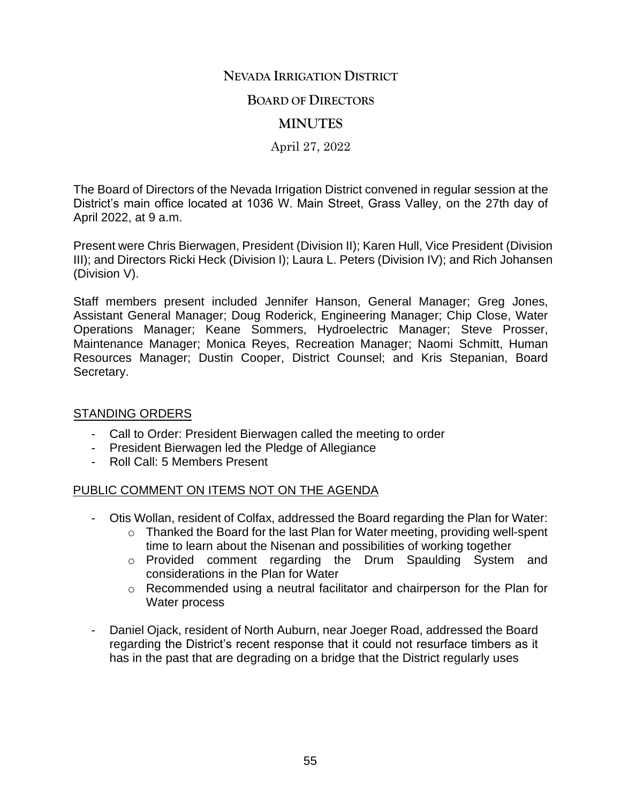# **NEVADA IRRIGATION DISTRICT**

#### **BOARD OF DIRECTORS**

## **MINUTES**

#### April 27, 2022

The Board of Directors of the Nevada Irrigation District convened in regular session at the District's main office located at 1036 W. Main Street, Grass Valley, on the 27th day of April 2022, at 9 a.m.

Present were Chris Bierwagen, President (Division II); Karen Hull, Vice President (Division III); and Directors Ricki Heck (Division I); Laura L. Peters (Division IV); and Rich Johansen (Division V).

Staff members present included Jennifer Hanson, General Manager; Greg Jones, Assistant General Manager; Doug Roderick, Engineering Manager; Chip Close, Water Operations Manager; Keane Sommers, Hydroelectric Manager; Steve Prosser, Maintenance Manager; Monica Reyes, Recreation Manager; Naomi Schmitt, Human Resources Manager; Dustin Cooper, District Counsel; and Kris Stepanian, Board Secretary.

#### STANDING ORDERS

- Call to Order: President Bierwagen called the meeting to order
- President Bierwagen led the Pledge of Allegiance
- Roll Call: 5 Members Present

#### PUBLIC COMMENT ON ITEMS NOT ON THE AGENDA

- Otis Wollan, resident of Colfax, addressed the Board regarding the Plan for Water:
	- o Thanked the Board for the last Plan for Water meeting, providing well-spent time to learn about the Nisenan and possibilities of working together
	- o Provided comment regarding the Drum Spaulding System and considerations in the Plan for Water
	- o Recommended using a neutral facilitator and chairperson for the Plan for Water process
- Daniel Ojack, resident of North Auburn, near Joeger Road, addressed the Board regarding the District's recent response that it could not resurface timbers as it has in the past that are degrading on a bridge that the District regularly uses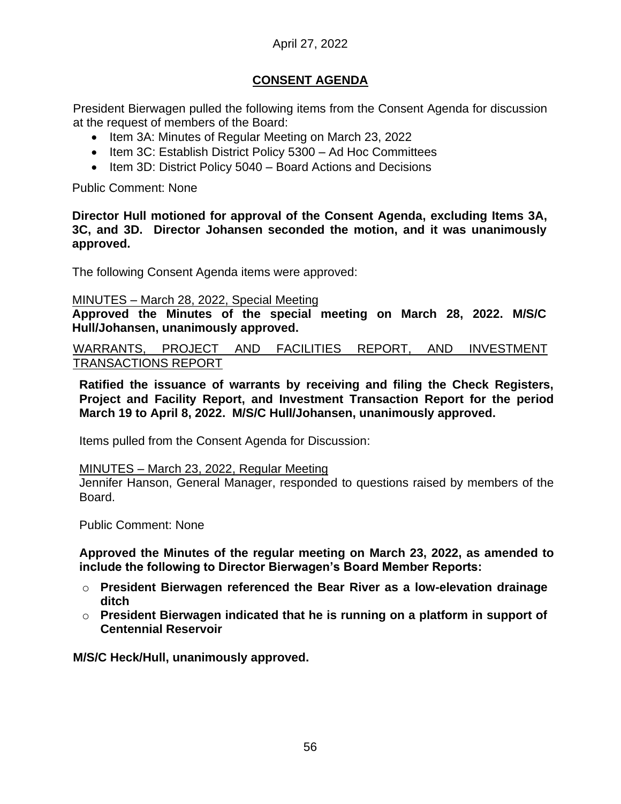# April 27, 2022

# **CONSENT AGENDA**

President Bierwagen pulled the following items from the Consent Agenda for discussion at the request of members of the Board:

- Item 3A: Minutes of Regular Meeting on March 23, 2022
- Item 3C: Establish District Policy 5300 Ad Hoc Committees
- Item 3D: District Policy 5040 Board Actions and Decisions

Public Comment: None

**Director Hull motioned for approval of the Consent Agenda, excluding Items 3A, 3C, and 3D. Director Johansen seconded the motion, and it was unanimously approved.** 

The following Consent Agenda items were approved:

#### MINUTES – March 28, 2022, Special Meeting

**Approved the Minutes of the special meeting on March 28, 2022. M/S/C Hull/Johansen, unanimously approved.** 

WARRANTS, PROJECT AND FACILITIES REPORT, AND INVESTMENT TRANSACTIONS REPORT

**Ratified the issuance of warrants by receiving and filing the Check Registers, Project and Facility Report, and Investment Transaction Report for the period March 19 to April 8, 2022. M/S/C Hull/Johansen, unanimously approved.** 

Items pulled from the Consent Agenda for Discussion:

#### MINUTES – March 23, 2022, Regular Meeting

Jennifer Hanson, General Manager, responded to questions raised by members of the Board.

Public Comment: None

**Approved the Minutes of the regular meeting on March 23, 2022, as amended to include the following to Director Bierwagen's Board Member Reports:**

- o **President Bierwagen referenced the Bear River as a low-elevation drainage ditch**
- o **President Bierwagen indicated that he is running on a platform in support of Centennial Reservoir**

**M/S/C Heck/Hull, unanimously approved.**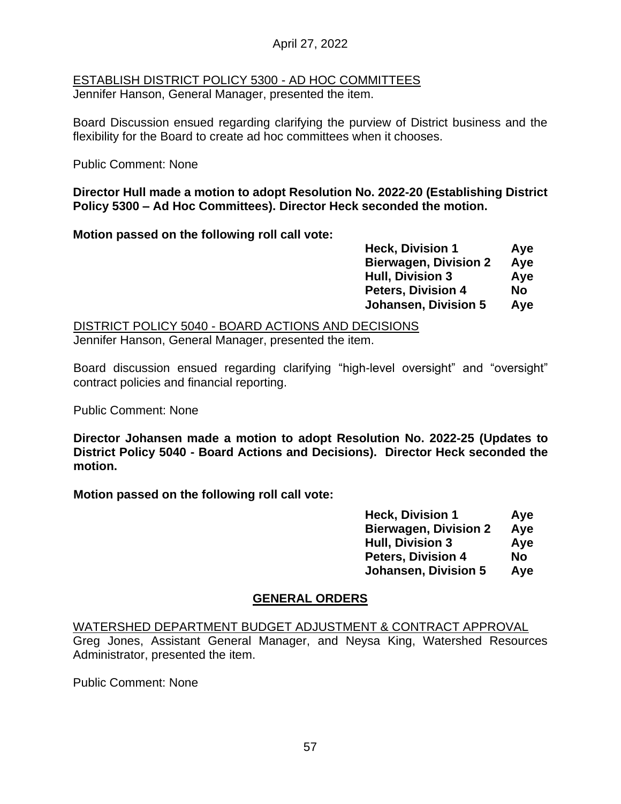### April 27, 2022

# ESTABLISH DISTRICT POLICY 5300 - AD HOC COMMITTEES

Jennifer Hanson, General Manager, presented the item.

Board Discussion ensued regarding clarifying the purview of District business and the flexibility for the Board to create ad hoc committees when it chooses.

Public Comment: None

#### **Director Hull made a motion to adopt Resolution No. 2022-20 (Establishing District Policy 5300 – Ad Hoc Committees). Director Heck seconded the motion.**

**Motion passed on the following roll call vote:**

| <b>Heck, Division 1</b>      | Aye       |
|------------------------------|-----------|
| <b>Bierwagen, Division 2</b> | Aye       |
| <b>Hull, Division 3</b>      | Aye       |
| <b>Peters, Division 4</b>    | <b>No</b> |
| <b>Johansen, Division 5</b>  | Aye       |

DISTRICT POLICY 5040 - BOARD ACTIONS AND DECISIONS Jennifer Hanson, General Manager, presented the item.

Board discussion ensued regarding clarifying "high-level oversight" and "oversight" contract policies and financial reporting.

Public Comment: None

**Director Johansen made a motion to adopt Resolution No. 2022-25 (Updates to District Policy 5040 - Board Actions and Decisions). Director Heck seconded the motion.**

**Motion passed on the following roll call vote:**

| <b>Heck, Division 1</b>      | Aye       |
|------------------------------|-----------|
| <b>Bierwagen, Division 2</b> | Aye       |
| <b>Hull, Division 3</b>      | Aye       |
| <b>Peters, Division 4</b>    | <b>No</b> |
| <b>Johansen, Division 5</b>  | Aye       |

# **GENERAL ORDERS**

WATERSHED DEPARTMENT BUDGET ADJUSTMENT & CONTRACT APPROVAL Greg Jones, Assistant General Manager, and Neysa King, Watershed Resources Administrator, presented the item.

Public Comment: None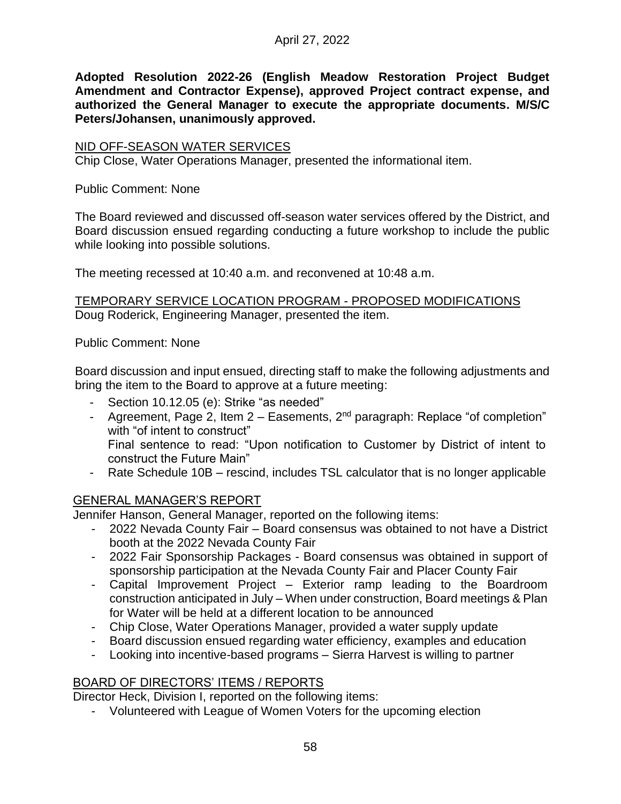**Adopted Resolution 2022-26 (English Meadow Restoration Project Budget Amendment and Contractor Expense), approved Project contract expense, and authorized the General Manager to execute the appropriate documents. M/S/C Peters/Johansen, unanimously approved.**

### NID OFF-SEASON WATER SERVICES

Chip Close, Water Operations Manager, presented the informational item.

Public Comment: None

The Board reviewed and discussed off-season water services offered by the District, and Board discussion ensued regarding conducting a future workshop to include the public while looking into possible solutions.

The meeting recessed at 10:40 a.m. and reconvened at 10:48 a.m.

TEMPORARY SERVICE LOCATION PROGRAM - PROPOSED MODIFICATIONS Doug Roderick, Engineering Manager, presented the item.

Public Comment: None

Board discussion and input ensued, directing staff to make the following adjustments and bring the item to the Board to approve at a future meeting:

- Section 10.12.05 (e): Strike "as needed"
- Agreement, Page 2, Item  $2 -$  Easements,  $2^{nd}$  paragraph: Replace "of completion" with "of intent to construct" Final sentence to read: "Upon notification to Customer by District of intent to

construct the Future Main"

- Rate Schedule 10B – rescind, includes TSL calculator that is no longer applicable

# GENERAL MANAGER'S REPORT

Jennifer Hanson, General Manager, reported on the following items:

- 2022 Nevada County Fair Board consensus was obtained to not have a District booth at the 2022 Nevada County Fair
- 2022 Fair Sponsorship Packages Board consensus was obtained in support of sponsorship participation at the Nevada County Fair and Placer County Fair
- Capital Improvement Project Exterior ramp leading to the Boardroom construction anticipated in July – When under construction, Board meetings & Plan for Water will be held at a different location to be announced
- Chip Close, Water Operations Manager, provided a water supply update
- Board discussion ensued regarding water efficiency, examples and education
- Looking into incentive-based programs Sierra Harvest is willing to partner

# BOARD OF DIRECTORS' ITEMS / REPORTS

Director Heck, Division I, reported on the following items:

- Volunteered with League of Women Voters for the upcoming election